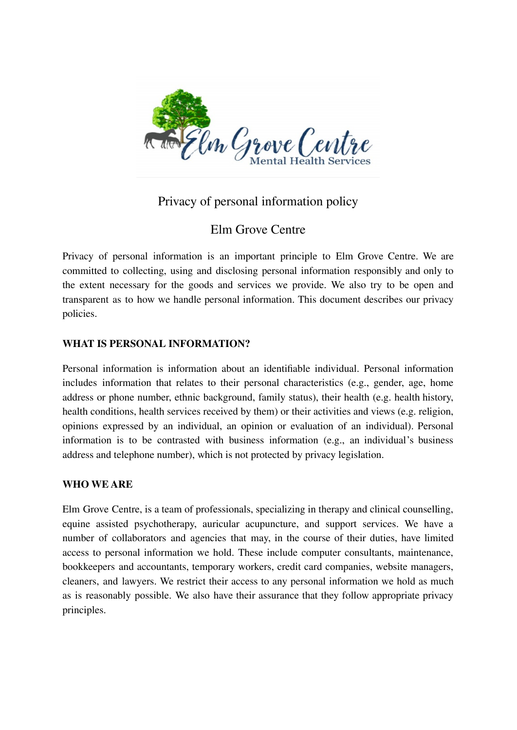

# Privacy of personal information policy

# Elm Grove Centre

Privacy of personal information is an important principle to Elm Grove Centre. We are committed to collecting, using and disclosing personal information responsibly and only to the extent necessary for the goods and services we provide. We also try to be open and transparent as to how we handle personal information. This document describes our privacy policies.

## **WHAT IS PERSONAL INFORMATION?**

Personal information is information about an identifiable individual. Personal information includes information that relates to their personal characteristics (e.g., gender, age, home address or phone number, ethnic background, family status), their health (e.g. health history, health conditions, health services received by them) or their activities and views (e.g. religion, opinions expressed by an individual, an opinion or evaluation of an individual). Personal information is to be contrasted with business information (e.g., an individual's business address and telephone number), which is not protected by privacy legislation.

## **WHO WE ARE**

Elm Grove Centre, is a team of professionals, specializing in therapy and clinical counselling, equine assisted psychotherapy, auricular acupuncture, and support services. We have a number of collaborators and agencies that may, in the course of their duties, have limited access to personal information we hold. These include computer consultants, maintenance, bookkeepers and accountants, temporary workers, credit card companies, website managers, cleaners, and lawyers. We restrict their access to any personal information we hold as much as is reasonably possible. We also have their assurance that they follow appropriate privacy principles.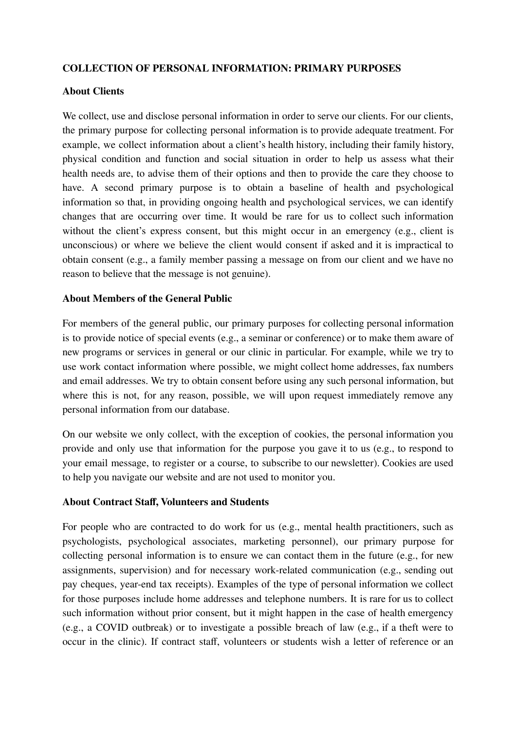#### **COLLECTION OF PERSONAL INFORMATION: PRIMARY PURPOSES**

#### **About Clients**

We collect, use and disclose personal information in order to serve our clients. For our clients, the primary purpose for collecting personal information is to provide adequate treatment. For example, we collect information about a client's health history, including their family history, physical condition and function and social situation in order to help us assess what their health needs are, to advise them of their options and then to provide the care they choose to have. A second primary purpose is to obtain a baseline of health and psychological information so that, in providing ongoing health and psychological services, we can identify changes that are occurring over time. It would be rare for us to collect such information without the client's express consent, but this might occur in an emergency (e.g., client is unconscious) or where we believe the client would consent if asked and it is impractical to obtain consent (e.g., a family member passing a message on from our client and we have no reason to believe that the message is not genuine).

#### **About Members of the General Public**

For members of the general public, our primary purposes for collecting personal information is to provide notice of special events (e.g., a seminar or conference) or to make them aware of new programs or services in general or our clinic in particular. For example, while we try to use work contact information where possible, we might collect home addresses, fax numbers and email addresses. We try to obtain consent before using any such personal information, but where this is not, for any reason, possible, we will upon request immediately remove any personal information from our database.

On our website we only collect, with the exception of cookies, the personal information you provide and only use that information for the purpose you gave it to us (e.g., to respond to your email message, to register or a course, to subscribe to our newsletter). Cookies are used to help you navigate our website and are not used to monitor you.

#### **About Contract Staff, Volunteers and Students**

For people who are contracted to do work for us (e.g., mental health practitioners, such as psychologists, psychological associates, marketing personnel), our primary purpose for collecting personal information is to ensure we can contact them in the future (e.g., for new assignments, supervision) and for necessary work-related communication (e.g., sending out pay cheques, year-end tax receipts). Examples of the type of personal information we collect for those purposes include home addresses and telephone numbers. It is rare for us to collect such information without prior consent, but it might happen in the case of health emergency (e.g., a COVID outbreak) or to investigate a possible breach of law (e.g., if a theft were to occur in the clinic). If contract staff, volunteers or students wish a letter of reference or an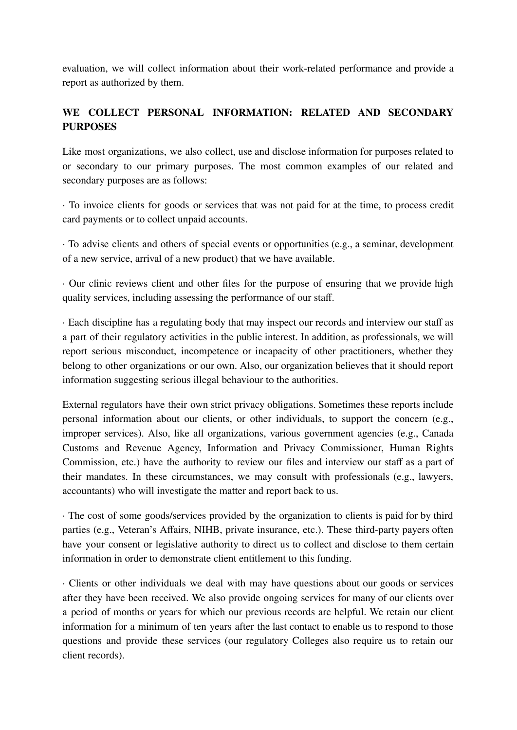evaluation, we will collect information about their work-related performance and provide a report as authorized by them.

## **WE COLLECT PERSONAL INFORMATION: RELATED AND SECONDARY PURPOSES**

Like most organizations, we also collect, use and disclose information for purposes related to or secondary to our primary purposes. The most common examples of our related and secondary purposes are as follows:

· To invoice clients for goods or services that was not paid for at the time, to process credit card payments or to collect unpaid accounts.

· To advise clients and others of special events or opportunities (e.g., a seminar, development of a new service, arrival of a new product) that we have available.

· Our clinic reviews client and other files for the purpose of ensuring that we provide high quality services, including assessing the performance of our staff.

· Each discipline has a regulating body that may inspect our records and interview our staff as a part of their regulatory activities in the public interest. In addition, as professionals, we will report serious misconduct, incompetence or incapacity of other practitioners, whether they belong to other organizations or our own. Also, our organization believes that it should report information suggesting serious illegal behaviour to the authorities.

External regulators have their own strict privacy obligations. Sometimes these reports include personal information about our clients, or other individuals, to support the concern (e.g., improper services). Also, like all organizations, various government agencies (e.g., Canada Customs and Revenue Agency, Information and Privacy Commissioner, Human Rights Commission, etc.) have the authority to review our files and interview our staff as a part of their mandates. In these circumstances, we may consult with professionals (e.g., lawyers, accountants) who will investigate the matter and report back to us.

· The cost of some goods/services provided by the organization to clients is paid for by third parties (e.g., Veteran's Affairs, NIHB, private insurance, etc.). These third-party payers often have your consent or legislative authority to direct us to collect and disclose to them certain information in order to demonstrate client entitlement to this funding.

· Clients or other individuals we deal with may have questions about our goods or services after they have been received. We also provide ongoing services for many of our clients over a period of months or years for which our previous records are helpful. We retain our client information for a minimum of ten years after the last contact to enable us to respond to those questions and provide these services (our regulatory Colleges also require us to retain our client records).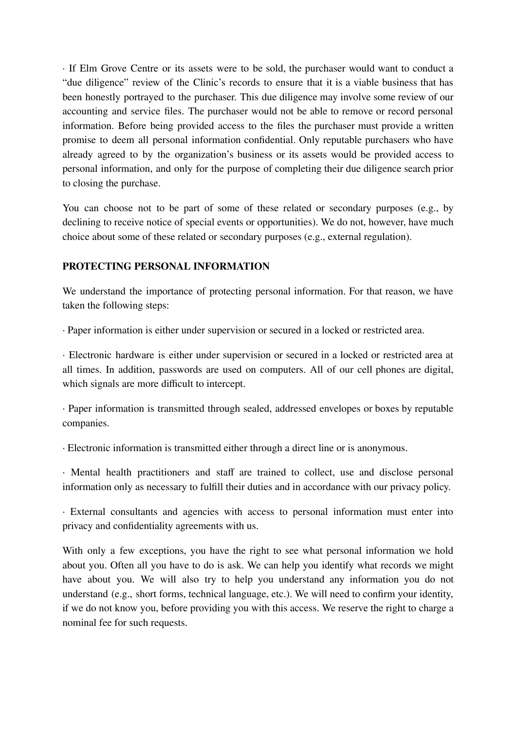· If Elm Grove Centre or its assets were to be sold, the purchaser would want to conduct a "due diligence" review of the Clinic's records to ensure that it is a viable business that has been honestly portrayed to the purchaser. This due diligence may involve some review of our accounting and service files. The purchaser would not be able to remove or record personal information. Before being provided access to the files the purchaser must provide a written promise to deem all personal information confidential. Only reputable purchasers who have already agreed to by the organization's business or its assets would be provided access to personal information, and only for the purpose of completing their due diligence search prior to closing the purchase.

You can choose not to be part of some of these related or secondary purposes (e.g., by declining to receive notice of special events or opportunities). We do not, however, have much choice about some of these related or secondary purposes (e.g., external regulation).

#### **PROTECTING PERSONAL INFORMATION**

We understand the importance of protecting personal information. For that reason, we have taken the following steps:

· Paper information is either under supervision or secured in a locked or restricted area.

· Electronic hardware is either under supervision or secured in a locked or restricted area at all times. In addition, passwords are used on computers. All of our cell phones are digital, which signals are more difficult to intercept.

· Paper information is transmitted through sealed, addressed envelopes or boxes by reputable companies.

· Electronic information is transmitted either through a direct line or is anonymous.

· Mental health practitioners and staff are trained to collect, use and disclose personal information only as necessary to fulfill their duties and in accordance with our privacy policy.

· External consultants and agencies with access to personal information must enter into privacy and confidentiality agreements with us.

With only a few exceptions, you have the right to see what personal information we hold about you. Often all you have to do is ask. We can help you identify what records we might have about you. We will also try to help you understand any information you do not understand (e.g., short forms, technical language, etc.). We will need to confirm your identity, if we do not know you, before providing you with this access. We reserve the right to charge a nominal fee for such requests.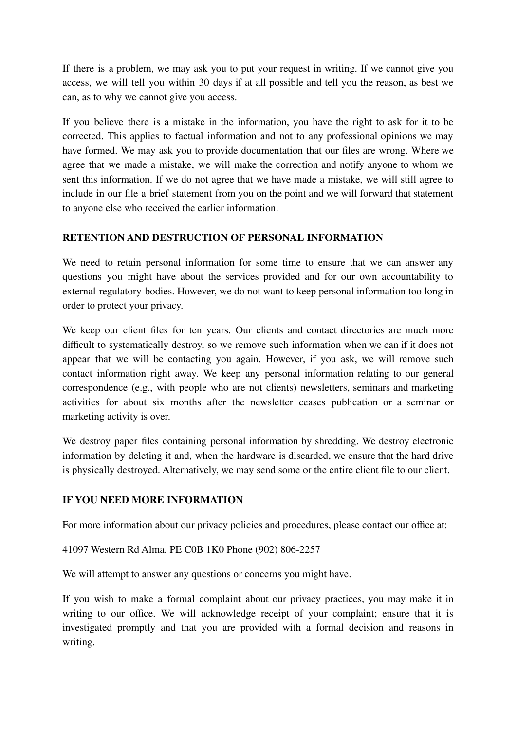If there is a problem, we may ask you to put your request in writing. If we cannot give you access, we will tell you within 30 days if at all possible and tell you the reason, as best we can, as to why we cannot give you access.

If you believe there is a mistake in the information, you have the right to ask for it to be corrected. This applies to factual information and not to any professional opinions we may have formed. We may ask you to provide documentation that our files are wrong. Where we agree that we made a mistake, we will make the correction and notify anyone to whom we sent this information. If we do not agree that we have made a mistake, we will still agree to include in our file a brief statement from you on the point and we will forward that statement to anyone else who received the earlier information.

### **RETENTION AND DESTRUCTION OF PERSONAL INFORMATION**

We need to retain personal information for some time to ensure that we can answer any questions you might have about the services provided and for our own accountability to external regulatory bodies. However, we do not want to keep personal information too long in order to protect your privacy.

We keep our client files for ten years. Our clients and contact directories are much more difficult to systematically destroy, so we remove such information when we can if it does not appear that we will be contacting you again. However, if you ask, we will remove such contact information right away. We keep any personal information relating to our general correspondence (e.g., with people who are not clients) newsletters, seminars and marketing activities for about six months after the newsletter ceases publication or a seminar or marketing activity is over.

We destroy paper files containing personal information by shredding. We destroy electronic information by deleting it and, when the hardware is discarded, we ensure that the hard drive is physically destroyed. Alternatively, we may send some or the entire client file to our client.

#### **IF YOU NEED MORE INFORMATION**

For more information about our privacy policies and procedures, please contact our office at:

41097 Western Rd Alma, PE C0B 1K0 Phone (902) 806-2257

We will attempt to answer any questions or concerns you might have.

If you wish to make a formal complaint about our privacy practices, you may make it in writing to our office. We will acknowledge receipt of your complaint; ensure that it is investigated promptly and that you are provided with a formal decision and reasons in writing.